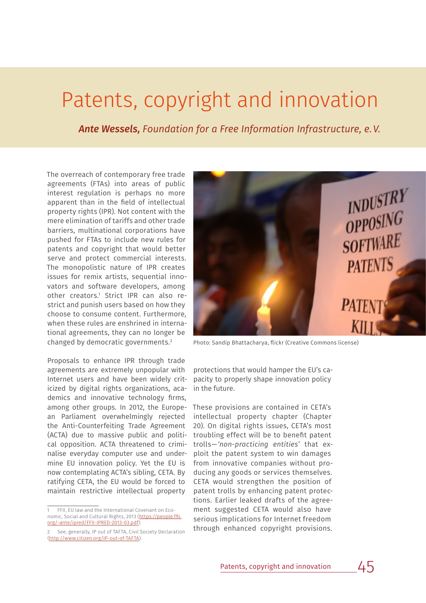# Patents, copyright and innovation

*Ante Wessels, Foundation for a Free Information Infrastructure, e.V.* 

The overreach of contemporary free trade agreements (FTAs) into areas of public interest regulation is perhaps no more apparent than in the field of intellectual property rights (IPR). Not content with the mere elimination of tariffs and other trade barriers, multinational corporations have pushed for FTAs to include new rules for patents and copyright that would better serve and protect commercial interests. The monopolistic nature of IPR creates issues for remix artists, sequential innovators and software developers, among other creators.1 Strict IPR can also restrict and punish users based on how they choose to consume content. Furthermore, when these rules are enshrined in international agreements, they can no longer be changed by democratic governments.2

Proposals to enhance IPR through trade agreements are extremely unpopular with Internet users and have been widely criticized by digital rights organizations, academics and innovative technology firms, among other groups. In 2012, the European Parliament overwhelmingly rejected the Anti-Counterfeiting Trade Agreement (ACTA) due to massive public and political opposition. ACTA threatened to criminalise everyday computer use and undermine EU innovation policy. Yet the EU is now contemplating ACTA's sibling, CETA. By ratifying CETA, the EU would be forced to maintain restrictive intellectual property



Photo: Sandip Bhattacharya, flickr (Creative Commons license)

protections that would hamper the EU's capacity to properly shape innovation policy in the future.

These provisions are contained in CETA's intellectual property chapter (Chapter 20). On digital rights issues, CETA's most troubling effect will be to benefit patent trolls—*'non-practicing entities'* that exploit the patent system to win damages from innovative companies without producing any goods or services themselves. CETA would strengthen the position of patent trolls by enhancing patent protections. Earlier leaked drafts of the agreement suggested CETA would also have serious implications for Internet freedom through enhanced copyright provisions.

<sup>1</sup> FFII, EU law and the International Covenant on Economic, Social and Cultural Rights, 2013 (https://people.ffii. org/~ante/ipred/FFII-IPRED-2013-03.pdf).

<sup>2</sup> See, generally, IP out of TAFTA, Civil Society Declaration (http://www.citizen.org/IP-out-of-TAFTA).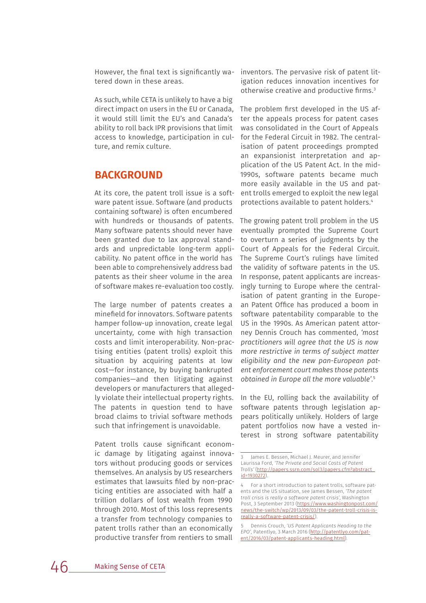However, the final text is significantly watered down in these areas.

As such, while CETA is unlikely to have a big direct impact on users in the EU or Canada, it would still limit the EU's and Canada's ability to roll back IPR provisions that limit access to knowledge, participation in culture, and remix culture.

## **BACKGROUND**

At its core, the patent troll issue is a software patent issue. Software (and products containing software) is often encumbered with hundreds or thousands of patents. Many software patents should never have been granted due to lax approval standards and unpredictable long-term applicability. No patent office in the world has been able to comprehensively address bad patents as their sheer volume in the area of software makes re-evaluation too costly.

The large number of patents creates a minefield for innovators. Software patents hamper follow-up innovation, create legal uncertainty, come with high transaction costs and limit interoperability. Non-practising entities (patent trolls) exploit this situation by acquiring patents at low cost—for instance, by buying bankrupted companies—and then litigating against developers or manufacturers that allegedly violate their intellectual property rights. The patents in question tend to have broad claims to trivial software methods such that infringement is unavoidable.

Patent trolls cause significant economic damage by litigating against innovators without producing goods or services themselves. An analysis by US researchers estimates that lawsuits filed by non-practicing entities are associated with half a trillion dollars of lost wealth from 1990 through 2010. Most of this loss represents a transfer from technology companies to patent trolls rather than an economically productive transfer from rentiers to small

inventors. The pervasive risk of patent litigation reduces innovation incentives for otherwise creative and productive firms.3

The problem first developed in the US after the appeals process for patent cases was consolidated in the Court of Appeals for the Federal Circuit in 1982. The centralisation of patent proceedings prompted an expansionist interpretation and application of the US Patent Act. In the mid-1990s, software patents became much more easily available in the US and patent trolls emerged to exploit the new legal protections available to patent holders.4

The growing patent troll problem in the US eventually prompted the Supreme Court to overturn a series of judgments by the Court of Appeals for the Federal Circuit. The Supreme Court's rulings have limited the validity of software patents in the US. In response, patent applicants are increasingly turning to Europe where the centralisation of patent granting in the European Patent Office has produced a boom in software patentability comparable to the US in the 1990s. As American patent attorney Dennis Crouch has commented, *'most practitioners will agree that the US is now more restrictive in terms of subject matter eligibility and the new pan-European patent enforcement court makes those patents obtained in Europe all the more valuable'*. 5

In the EU, rolling back the availability of software patents through legislation appears politically unlikely. Holders of large patent portfolios now have a vested interest in strong software patentability

<sup>3</sup> James E. Bessen, Michael J. Meurer, and Jennifer Laurissa Ford, *'The Private and Social Costs of Patent Trolls'* (http://papers.ssrn.com/sol3/papers.cfm?abstract\_ id=1930272).

<sup>4</sup> For a short introduction to patent trolls, software patents and the US situation, see James Bessen, *'The patent troll crisis is really a software patent crisis'*, Washington Post, 3 September 2013 (https://www.washingtonpost.com/ news/the-switch/wp/2013/09/03/the-patent-troll-crisis-isreally-a-software-patent-crisis/).

<sup>5</sup> Dennis Crouch, *'US Patent Applicants Heading to the EPO'*, Patentlyo, 3 March 2016 (http://patentlyo.com/patent/2016/03/patent-applicants-heading.html).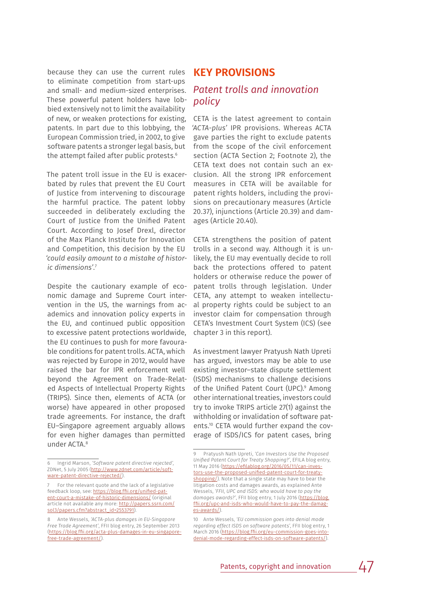because they can use the current rules to eliminate competition from start-ups and small- and medium-sized enterprises. These powerful patent holders have lobbied extensively not to limit the availability of new, or weaken protections for existing, patents. In part due to this lobbying, the European Commission tried, in 2002, to give software patents a stronger legal basis, but the attempt failed after public protests.<sup>6</sup>

The patent troll issue in the EU is exacerbated by rules that prevent the EU Court of Justice from intervening to discourage the harmful practice. The patent lobby succeeded in deliberately excluding the Court of Justice from the Unified Patent Court. According to Josef Drexl, director of the Max Planck Institute for Innovation and Competition, this decision by the EU *'could easily amount to a mistake of historic dimensions'*. 7

Despite the cautionary example of economic damage and Supreme Court intervention in the US, the warnings from academics and innovation policy experts in the EU, and continued public opposition to excessive patent protections worldwide, the EU continues to push for more favourable conditions for patent trolls. ACTA, which was rejected by Europe in 2012, would have raised the bar for IPR enforcement well beyond the Agreement on Trade-Related Aspects of Intellectual Property Rights (TRIPS). Since then, elements of ACTA (or worse) have appeared in other proposed trade agreements. For instance, the draft EU–Singapore agreement arguably allows for even higher damages than permitted under ACTA.8

#### **KEY PROVISIONS**

### *Patent trolls and innovation policy*

CETA is the latest agreement to contain *'ACTA-plus'* IPR provisions. Whereas ACTA gave parties the right to exclude patents from the scope of the civil enforcement section (ACTA Section 2; Footnote 2), the CETA text does not contain such an exclusion. All the strong IPR enforcement measures in CETA will be available for patent rights holders, including the provisions on precautionary measures (Article 20.37), injunctions (Article 20.39) and damages (Article 20.40).

CETA strengthens the position of patent trolls in a second way. Although it is unlikely, the EU may eventually decide to roll back the protections offered to patent holders or otherwise reduce the power of patent trolls through legislation. Under CETA, any attempt to weaken intellectual property rights could be subject to an investor claim for compensation through CETA's Investment Court System (ICS) (see chapter 3 in this report).

As investment lawyer Pratyush Nath Upreti has argued, investors may be able to use existing investor–state dispute settlement (ISDS) mechanisms to challenge decisions of the Unified Patent Court (UPC).<sup>9</sup> Among other international treaties, investors could try to invoke TRIPS article 27(1) against the withholding or invalidation of software patents.10 CETA would further expand the coverage of ISDS/ICS for patent cases, bring

<sup>6</sup> Ingrid Marson, *'Software patent directive rejected',* ZDNet, 5 July 2005 (http://www.zdnet.com/article/software-patent-directive-rejected/).

<sup>7</sup> For the relevant quote and the lack of a legislative feedback loop, see: https://blog.ffii.org/unified-patent-court-a-mistake-of-historic-dimensions/ (original article not available any more: http://papers.ssrn.com/ sol3/papers.cfm?abstract\_id=2553791)

<sup>8</sup> Ante Wessels, *'ACTA-plus damages in EU-Singapore Free Trade Agreement'*, FFII blog entry, 26 September 2013 (https://blog.ffii.org/acta-plus-damages-in-eu-singaporefree-trade-agreement/).

<sup>9</sup> Pratyush Nath Upreti, *'Can Investors Use the Proposed Unified Patent Court for Treaty Shopping?'*, EFILA blog entry, 11 May 2016 (https://efilablog.org/2016/05/11/can-investors-use-the-proposed-unified-patent-court-for-treatyshopping/). Note that a single state may have to bear the litigation costs and damages awards, as explained Ante Wessels, *'FFII, UPC and ISDS: who would have to pay the damages awards?'*, FFII blog entry, 1 July 2016 (https://blog. ffii.org/upc-and-isds-who-would-have-to-pay-the-damages-awards/).

<sup>10</sup> Ante Wessels, *'EU commission goes into denial mode regarding effect ISDS on software patents'*, FFII blog entry, 1 March 2016 (https://blog.ffii.org/eu-commission-goes-intodenial-mode-regarding-effect-isds-on-software-patents/).